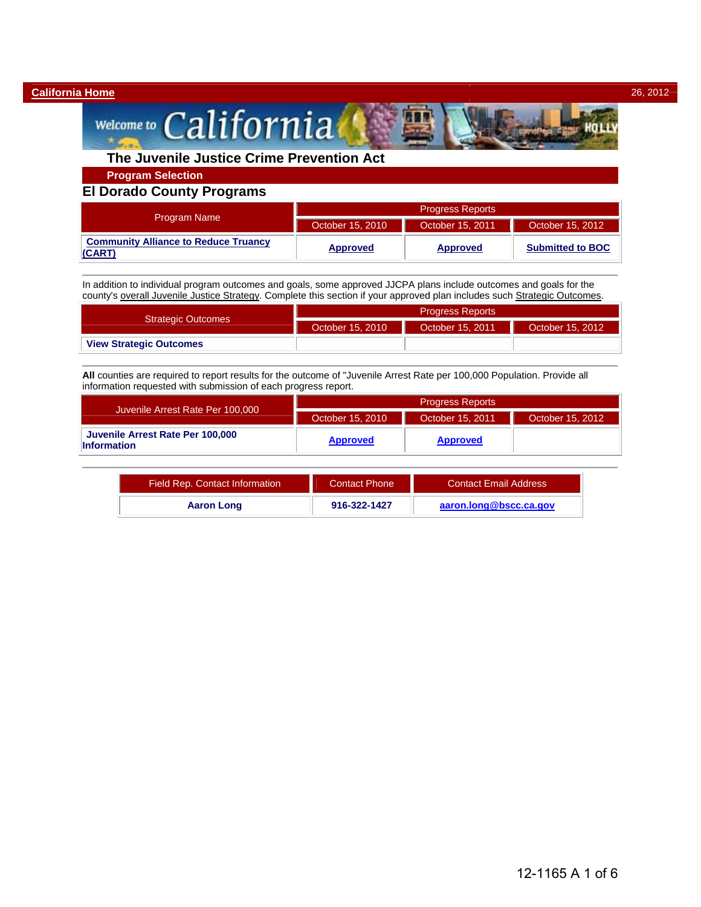#### **California Home** 26, 2012

# Welcome to California

# **The Juvenile Justice Crime Prevention Act**

**Program Selection** 

### **El Dorado County Programs**

|                                                       | <b>Progress Reports</b> |                  |                         |  |
|-------------------------------------------------------|-------------------------|------------------|-------------------------|--|
| <b>Program Name</b>                                   | October 15, 2010        | October 15, 2011 | October 15, 2012        |  |
| <b>Community Alliance to Reduce Truancy</b><br>(CART) | <b>Approved</b>         | <b>Approved</b>  | <b>Submitted to BOC</b> |  |

In addition to individual program outcomes and goals, some approved JJCPA plans include outcomes and goals for the county's overall Juvenile Justice Strategy. Complete this section if your approved plan includes such Strategic Outcomes.

|                                | <b>Progress Reports</b> |                  |                  |  |
|--------------------------------|-------------------------|------------------|------------------|--|
| <b>Strategic Outcomes</b>      | October 15, 2010        | October 15, 2011 | October 15, 2012 |  |
| <b>View Strategic Outcomes</b> |                         |                  |                  |  |

**All** counties are required to report results for the outcome of "Juvenile Arrest Rate per 100,000 Population. Provide all information requested with submission of each progress report.

|                                                        | <b>Progress Reports</b> |                  |                  |  |
|--------------------------------------------------------|-------------------------|------------------|------------------|--|
| Juvenile Arrest Rate Per 100,000                       | October 15, 2010        | October 15, 2011 | October 15, 2012 |  |
| Juvenile Arrest Rate Per 100,000<br><b>Information</b> | <b>Approved</b>         | <b>Approved</b>  |                  |  |

| Field Rep. Contact Information | <b>Contact Phone</b> | <b>Contact Email Address</b> |
|--------------------------------|----------------------|------------------------------|
| <b>Aaron Long</b>              | 916-322-1427         | aaron.long@bscc.ca.gov       |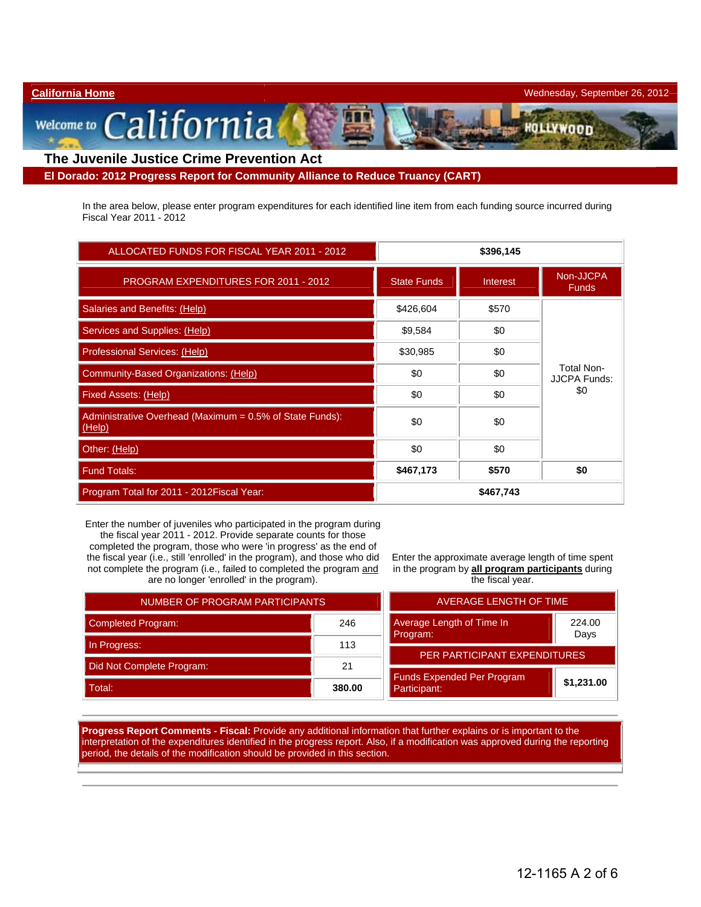#### **California Home** Wednesday, September 26, 2012

m

Welcome to California **The Juvenile Justice Crime Prevention Act** 

**El Dorado: 2012 Progress Report for Community Alliance to Reduce Truancy (CART)** 

In the area below, please enter program expenditures for each identified line item from each funding source incurred during Fiscal Year 2011 - 2012

| ALLOCATED FUNDS FOR FISCAL YEAR 2011 - 2012                        | \$396,145          |           |                                          |
|--------------------------------------------------------------------|--------------------|-----------|------------------------------------------|
| <b>PROGRAM EXPENDITURES FOR 2011 - 2012</b>                        | <b>State Funds</b> | Interest  | Non-JJCPA<br><b>Funds</b>                |
| Salaries and Benefits: (Help)                                      | \$426,604          | \$570     |                                          |
| Services and Supplies: (Help)                                      | \$9,584            | \$0       |                                          |
| Professional Services: (Help)                                      | \$30,985           | \$0       |                                          |
| Community-Based Organizations: (Help)                              | \$0                | \$0       | <b>Total Non-</b><br><b>JJCPA Funds:</b> |
| Fixed Assets: (Help)                                               | \$0                | \$0       | \$0                                      |
| Administrative Overhead (Maximum = 0.5% of State Funds):<br>(Help) | \$0                | \$0       |                                          |
| Other: (Help)                                                      | \$0                | \$0       |                                          |
| <b>Fund Totals:</b>                                                | \$467,173          | \$570     | \$0                                      |
| Program Total for 2011 - 2012 Fiscal Year:                         |                    | \$467,743 |                                          |

Enter the number of juveniles who participated in the program during the fiscal year 2011 - 2012. Provide separate counts for those completed the program, those who were 'in progress' as the end of the fiscal year (i.e., still 'enrolled' in the program), and those who did not complete the program (i.e., failed to completed the program and

are no longer 'enrolled' in the program).

Enter the approximate average length of time spent in the program by **all program participants** during

| NUMBER OF PROGRAM PARTICIPANTS   | <b>AVERAGE LE</b> |                                      |
|----------------------------------|-------------------|--------------------------------------|
| <b>Completed Program:</b><br>246 |                   | <b>Average Length of Time</b>        |
| In Progress:                     | 113               | Program:                             |
| Did Not Complete Program:        | 21                | <b>PER PARTICIPAL</b>                |
| Total:                           | 380.00            | Funds Expended Per P<br>Participant: |

the fiscal year. AVERAGE LENGTH OF TIME

| <b>AVERAGE LENGTH OF TIME</b>                           |            |  |
|---------------------------------------------------------|------------|--|
| Average Length of Time In<br>224.00<br>Program:<br>Days |            |  |
| <b>PER PARTICIPANT EXPENDITURES</b>                     |            |  |
| <b>Funds Expended Per Program</b><br>Participant:       | \$1,231.00 |  |

**Progress Report Comments - Fiscal:** Provide any additional information that further explains or is important to the interpretation of the expenditures identified in the progress report. Also, if a modification was approved during the reporting period, the details of the modification should be provided in this section.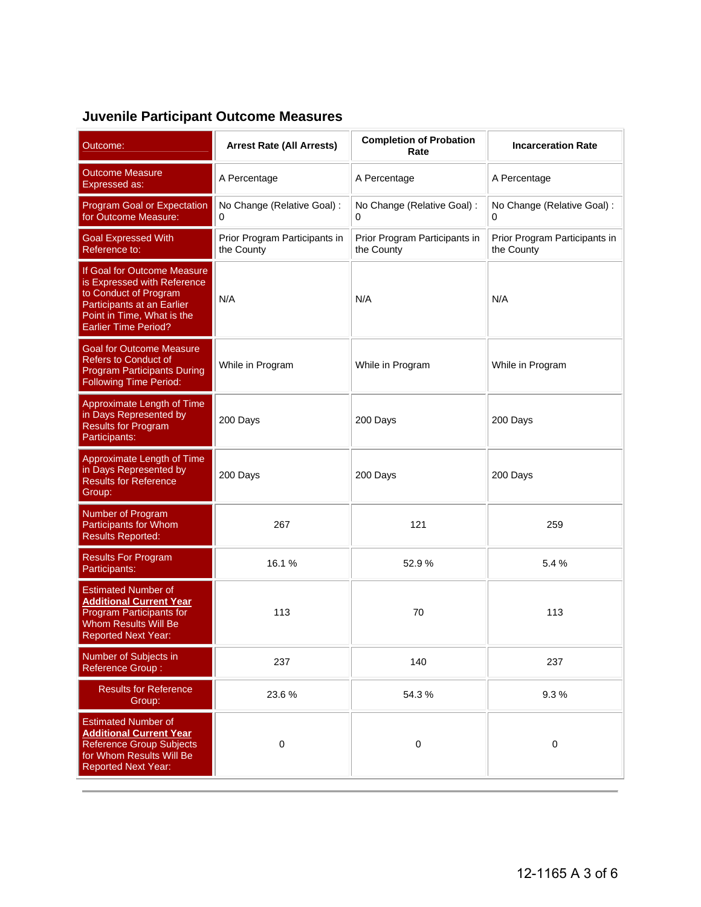# **Juvenile Participant Outcome Measures**

| Outcome:                                                                                                                                                                       | <b>Arrest Rate (All Arrests)</b>            | <b>Completion of Probation</b><br>Rate      | <b>Incarceration Rate</b>                   |
|--------------------------------------------------------------------------------------------------------------------------------------------------------------------------------|---------------------------------------------|---------------------------------------------|---------------------------------------------|
| <b>Outcome Measure</b><br><b>Expressed as:</b>                                                                                                                                 | A Percentage                                | A Percentage                                | A Percentage                                |
| Program Goal or Expectation<br>for Outcome Measure:                                                                                                                            | No Change (Relative Goal) :                 | No Change (Relative Goal) :<br>0            | No Change (Relative Goal) :                 |
| <b>Goal Expressed With</b><br>Reference to:                                                                                                                                    | Prior Program Participants in<br>the County | Prior Program Participants in<br>the County | Prior Program Participants in<br>the County |
| If Goal for Outcome Measure<br>is Expressed with Reference<br>to Conduct of Program<br>Participants at an Earlier<br>Point in Time, What is the<br><b>Earlier Time Period?</b> | N/A                                         | N/A                                         | N/A                                         |
| <b>Goal for Outcome Measure</b><br><b>Refers to Conduct of</b><br><b>Program Participants During</b><br><b>Following Time Period:</b>                                          | While in Program                            | While in Program                            | While in Program                            |
| Approximate Length of Time<br>in Days Represented by<br><b>Results for Program</b><br>Participants:                                                                            | 200 Days                                    | 200 Days                                    | 200 Days                                    |
| Approximate Length of Time<br>in Days Represented by<br><b>Results for Reference</b><br>Group:                                                                                 | 200 Days                                    | 200 Days                                    | 200 Days                                    |
| Number of Program<br><b>Participants for Whom</b><br><b>Results Reported:</b>                                                                                                  | 267                                         | 121                                         | 259                                         |
| <b>Results For Program</b><br>Participants:                                                                                                                                    | 16.1%                                       | 52.9%                                       | 5.4%                                        |
| <b>Estimated Number of</b><br><b>Additional Current Year</b><br>Program Participants for<br><b>Whom Results Will Be</b><br><b>Reported Next Year:</b>                          | 113                                         | 70                                          | 113                                         |
| Number of Subjects in<br><b>Reference Group:</b>                                                                                                                               | 237                                         | 140                                         | 237                                         |
| <b>Results for Reference</b><br>Group:                                                                                                                                         | 23.6%                                       | 54.3%                                       | 9.3%                                        |
| <b>Estimated Number of</b><br><b>Additional Current Year</b><br>Reference Group Subjects<br>for Whom Results Will Be<br><b>Reported Next Year:</b>                             | $\mathbf 0$                                 | $\pmb{0}$                                   | $\pmb{0}$                                   |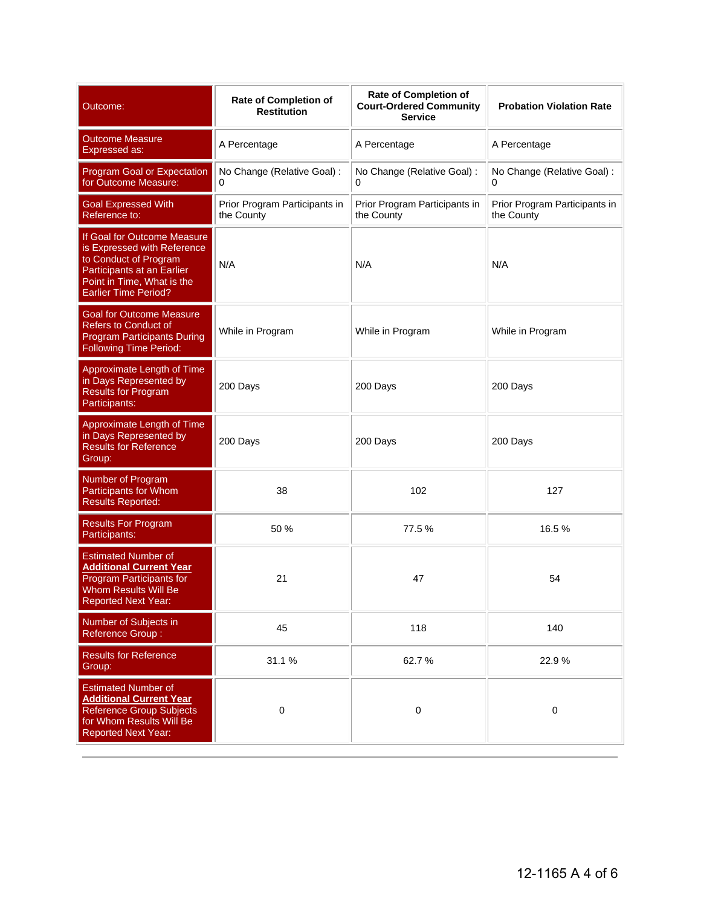| Outcome:                                                                                                                                                                       | Rate of Completion of<br><b>Restitution</b> | Rate of Completion of<br><b>Court-Ordered Community</b><br><b>Service</b> | <b>Probation Violation Rate</b>             |
|--------------------------------------------------------------------------------------------------------------------------------------------------------------------------------|---------------------------------------------|---------------------------------------------------------------------------|---------------------------------------------|
| <b>Outcome Measure</b><br>Expressed as:                                                                                                                                        | A Percentage                                | A Percentage                                                              | A Percentage                                |
| Program Goal or Expectation<br>for Outcome Measure:                                                                                                                            | No Change (Relative Goal) :<br>0            | No Change (Relative Goal) :<br>0                                          | No Change (Relative Goal) :<br>0            |
| <b>Goal Expressed With</b><br>Reference to:                                                                                                                                    | Prior Program Participants in<br>the County | Prior Program Participants in<br>the County                               | Prior Program Participants in<br>the County |
| If Goal for Outcome Measure<br>is Expressed with Reference<br>to Conduct of Program<br>Participants at an Earlier<br>Point in Time, What is the<br><b>Earlier Time Period?</b> | N/A                                         | N/A                                                                       | N/A                                         |
| <b>Goal for Outcome Measure</b><br><b>Refers to Conduct of</b><br><b>Program Participants During</b><br><b>Following Time Period:</b>                                          | While in Program                            | While in Program                                                          | While in Program                            |
| Approximate Length of Time<br>in Days Represented by<br><b>Results for Program</b><br>Participants:                                                                            | 200 Days                                    | 200 Days                                                                  | 200 Days                                    |
| Approximate Length of Time<br>in Days Represented by<br><b>Results for Reference</b><br>Group:                                                                                 | 200 Days                                    | 200 Days                                                                  | 200 Days                                    |
| Number of Program<br>Participants for Whom<br><b>Results Reported:</b>                                                                                                         | 38                                          | 102                                                                       | 127                                         |
| <b>Results For Program</b><br>Participants:                                                                                                                                    | 50 %                                        | 77.5%                                                                     | 16.5%                                       |
| <b>Estimated Number of</b><br><b>Additional Current Year</b><br>Program Participants for<br><b>Whom Results Will Be</b><br>Reported Next Year:                                 | 21                                          | 47                                                                        | 54                                          |
| Number of Subjects in<br><b>Reference Group:</b>                                                                                                                               | 45                                          | 118                                                                       | 140                                         |
| <b>Results for Reference</b><br>Group:                                                                                                                                         | 31.1 %                                      | 62.7%                                                                     | 22.9%                                       |
| <b>Estimated Number of</b><br><b>Additional Current Year</b><br>Reference Group Subjects<br>for Whom Results Will Be<br><b>Reported Next Year:</b>                             | $\pmb{0}$                                   | 0                                                                         | $\pmb{0}$                                   |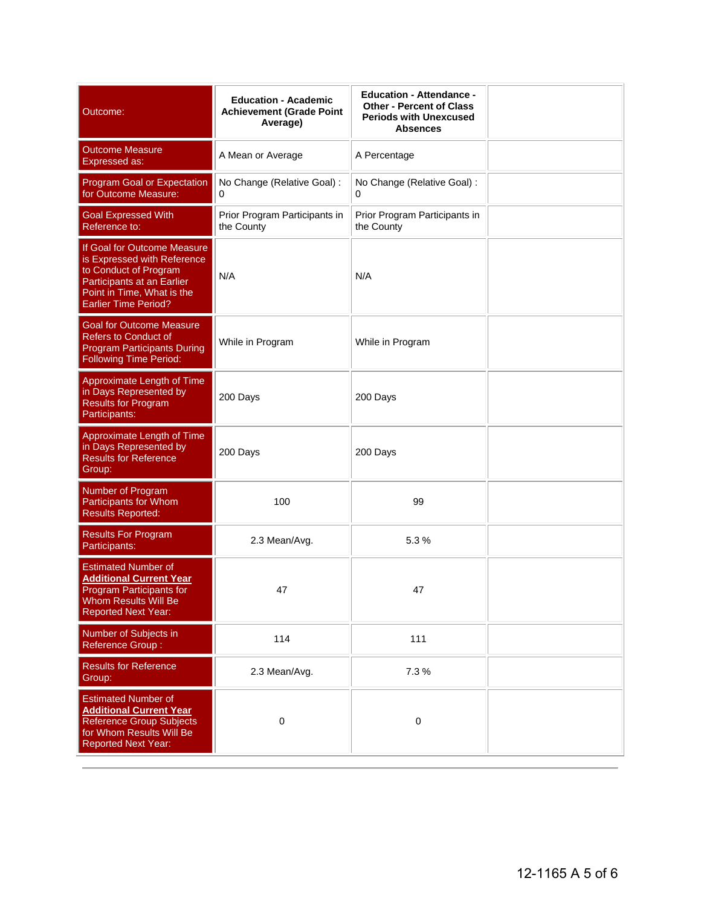| Outcome:                                                                                                                                                                       | <b>Education - Academic</b><br><b>Achievement (Grade Point</b><br>Average) | <b>Education - Attendance -</b><br><b>Other - Percent of Class</b><br><b>Periods with Unexcused</b><br><b>Absences</b> |  |
|--------------------------------------------------------------------------------------------------------------------------------------------------------------------------------|----------------------------------------------------------------------------|------------------------------------------------------------------------------------------------------------------------|--|
| <b>Outcome Measure</b><br><b>Expressed as:</b>                                                                                                                                 | A Mean or Average                                                          | A Percentage                                                                                                           |  |
| Program Goal or Expectation<br>for Outcome Measure:                                                                                                                            | No Change (Relative Goal) :<br>0                                           | No Change (Relative Goal) :<br>0                                                                                       |  |
| <b>Goal Expressed With</b><br>Reference to:                                                                                                                                    | Prior Program Participants in<br>the County                                | Prior Program Participants in<br>the County                                                                            |  |
| If Goal for Outcome Measure<br>is Expressed with Reference<br>to Conduct of Program<br>Participants at an Earlier<br>Point in Time, What is the<br><b>Earlier Time Period?</b> | N/A                                                                        | N/A                                                                                                                    |  |
| <b>Goal for Outcome Measure</b><br><b>Refers to Conduct of</b><br><b>Program Participants During</b><br><b>Following Time Period:</b>                                          | While in Program                                                           | While in Program                                                                                                       |  |
| Approximate Length of Time<br>in Days Represented by<br><b>Results for Program</b><br>Participants:                                                                            | 200 Days                                                                   | 200 Days                                                                                                               |  |
| Approximate Length of Time<br>in Days Represented by<br><b>Results for Reference</b><br>Group:                                                                                 | 200 Days                                                                   | 200 Days                                                                                                               |  |
| Number of Program<br>Participants for Whom<br><b>Results Reported:</b>                                                                                                         | 100                                                                        | 99                                                                                                                     |  |
| <b>Results For Program</b><br>Participants:                                                                                                                                    | 2.3 Mean/Avg.                                                              | 5.3%                                                                                                                   |  |
| <b>Estimated Number of</b><br><b>Additional Current Year</b><br>Program Participants for<br>Whom Results Will Be<br><b>Reported Next Year:</b>                                 | 47                                                                         | 47                                                                                                                     |  |
| Number of Subjects in<br>Reference Group:                                                                                                                                      | 114                                                                        | 111                                                                                                                    |  |
| <b>Results for Reference</b><br>Group:                                                                                                                                         | 2.3 Mean/Avg.                                                              | 7.3 %                                                                                                                  |  |
| <b>Estimated Number of</b><br><b>Additional Current Year</b><br><b>Reference Group Subjects</b><br>for Whom Results Will Be<br><b>Reported Next Year:</b>                      | $\mathbf 0$                                                                | $\pmb{0}$                                                                                                              |  |